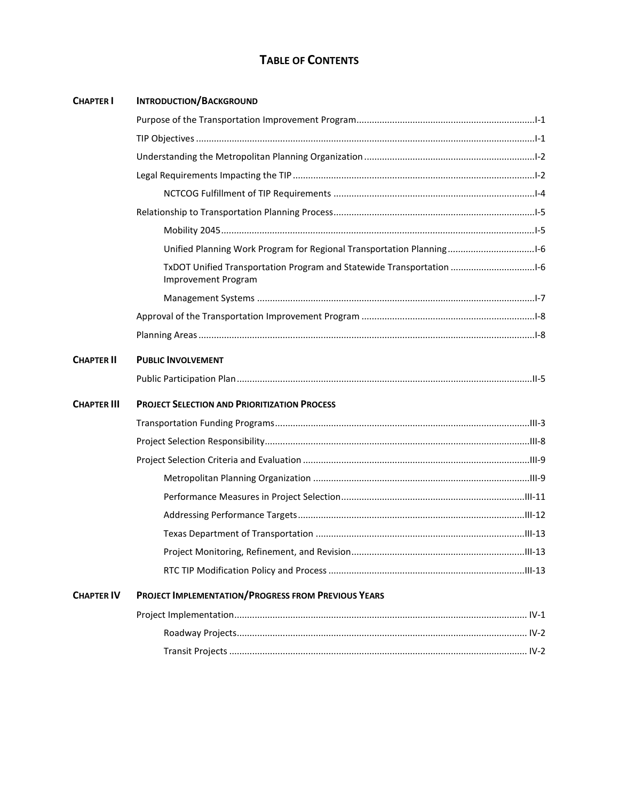## **TABLE OF CONTENTS**

| <b>CHAPTER I</b>  | <b>INTRODUCTION/BACKGROUND</b>                                                               |  |
|-------------------|----------------------------------------------------------------------------------------------|--|
|                   |                                                                                              |  |
|                   |                                                                                              |  |
|                   |                                                                                              |  |
|                   |                                                                                              |  |
|                   |                                                                                              |  |
|                   |                                                                                              |  |
|                   |                                                                                              |  |
|                   | Unified Planning Work Program for Regional Transportation Planning1-6                        |  |
|                   | TxDOT Unified Transportation Program and Statewide Transportation 1-6<br>Improvement Program |  |
|                   |                                                                                              |  |
|                   |                                                                                              |  |
|                   |                                                                                              |  |
| CHAPTER II        | <b>PUBLIC INVOLVEMENT</b>                                                                    |  |
|                   |                                                                                              |  |
| CHAPTER III       | <b>PROJECT SELECTION AND PRIORITIZATION PROCESS</b>                                          |  |
|                   |                                                                                              |  |
|                   |                                                                                              |  |
|                   |                                                                                              |  |
|                   |                                                                                              |  |
|                   |                                                                                              |  |
|                   |                                                                                              |  |
|                   |                                                                                              |  |
|                   |                                                                                              |  |
|                   |                                                                                              |  |
| <b>CHAPTER IV</b> | <b>PROJECT IMPLEMENTATION/PROGRESS FROM PREVIOUS YEARS</b>                                   |  |
|                   |                                                                                              |  |
|                   |                                                                                              |  |
|                   |                                                                                              |  |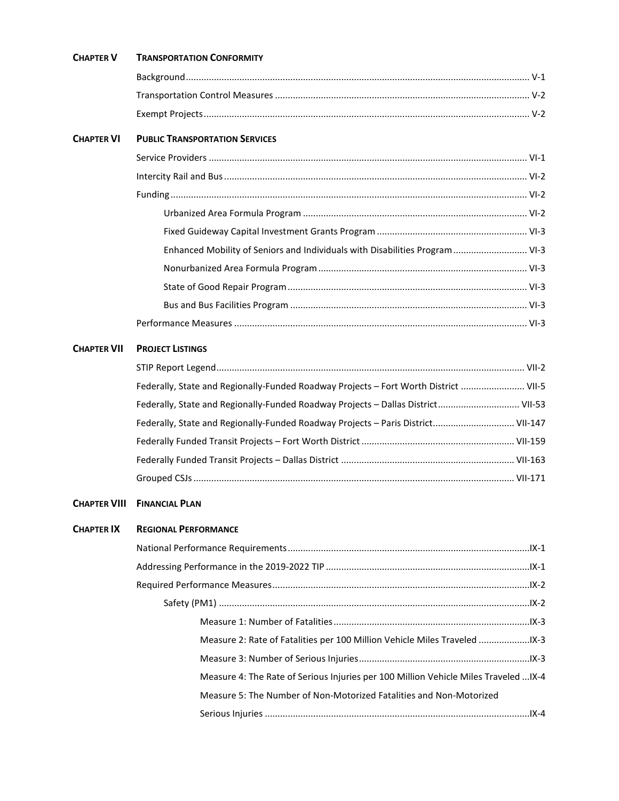## **CHAPTER V TRANSPORTATION CONFORMITY**

## **CHAPTER VI PUBLIC TRANSPORTATION SERVICES**

| Enhanced Mobility of Seniors and Individuals with Disabilities Program VI-3 |  |
|-----------------------------------------------------------------------------|--|
|                                                                             |  |
|                                                                             |  |
|                                                                             |  |
|                                                                             |  |

## **CHAPTER VII PROJECT LISTINGS**

| Federally, State and Regionally-Funded Roadway Projects - Fort Worth District  VII-5 |  |
|--------------------------------------------------------------------------------------|--|
| Federally, State and Regionally-Funded Roadway Projects - Dallas District VII-53     |  |
| Federally, State and Regionally-Funded Roadway Projects - Paris District VII-147     |  |
|                                                                                      |  |
|                                                                                      |  |
|                                                                                      |  |

## **CHAPTER VIII FINANCIAL PLAN**

|  | <b>CHAPTER IX REGIONAL PERFORMANCE</b>                                               |  |
|--|--------------------------------------------------------------------------------------|--|
|  |                                                                                      |  |
|  |                                                                                      |  |
|  |                                                                                      |  |
|  |                                                                                      |  |
|  |                                                                                      |  |
|  | Measure 2: Rate of Fatalities per 100 Million Vehicle Miles Traveled                 |  |
|  |                                                                                      |  |
|  | Measure 4: The Rate of Serious Injuries per 100 Million Vehicle Miles Traveled  IX-4 |  |
|  | Measure 5: The Number of Non-Motorized Fatalities and Non-Motorized                  |  |
|  |                                                                                      |  |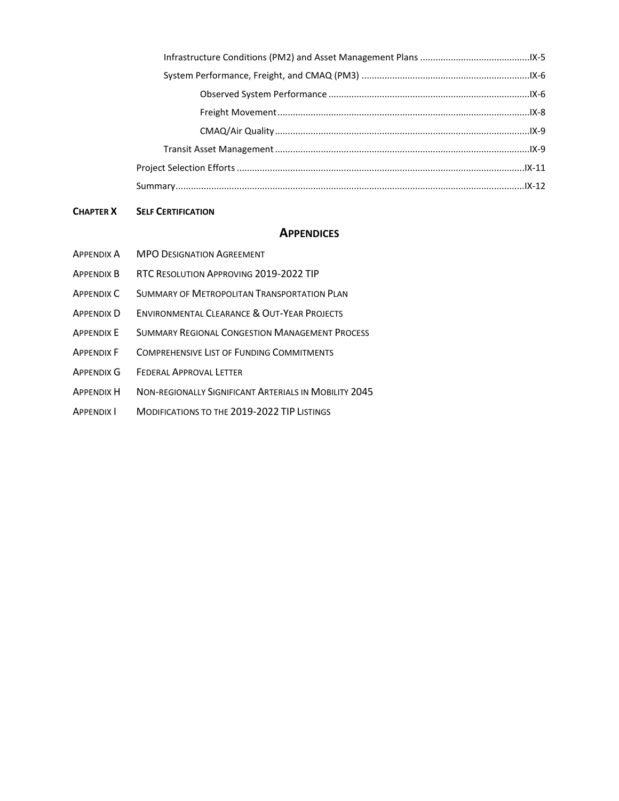#### **CHAPTER X SELF CERTIFICATION**

#### **APPENDICES**

- APPENDIX A MPO DESIGNATION AGREEMENT APPENDIX B RTC RESOLUTION APPROVING 2019-2022 TIP APPENDIX C SUMMARY OF METROPOLITAN TRANSPORTATION PLAN APPENDIX D ENVIRONMENTAL CLEARANCE & OUT-YEAR PROJECTS APPENDIX E SUMMARY REGIONAL CONGESTION MANAGEMENT PROCESS APPENDIX F COMPREHENSIVE LIST OF FUNDING COMMITMENTS APPENDIX G FEDERAL APPROVAL LETTER
- APPENDIX H NON-REGIONALLY SIGNIFICANT ARTERIALS IN MOBILITY 2045
- APPENDIX I MODIFICATIONS TO THE 2019-2022 TIP LISTINGS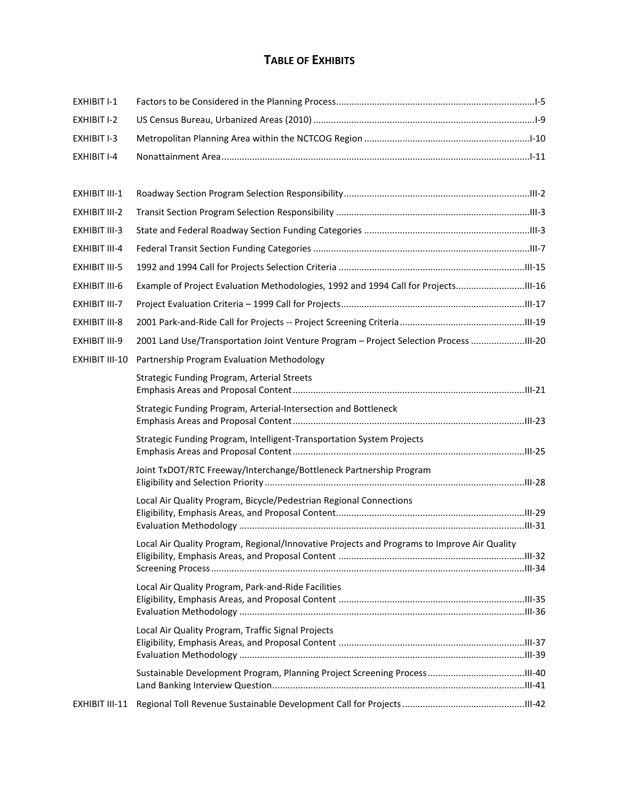# **TABLE OF EXHIBITS**

| EXHIBIT I-1           |                                                                                             |  |
|-----------------------|---------------------------------------------------------------------------------------------|--|
| EXHIBIT I-2           |                                                                                             |  |
| EXHIBIT I-3           |                                                                                             |  |
| <b>EXHIBIT I-4</b>    |                                                                                             |  |
|                       |                                                                                             |  |
| EXHIBIT III-1         |                                                                                             |  |
| <b>EXHIBIT III-2</b>  |                                                                                             |  |
| EXHIBIT III-3         |                                                                                             |  |
| <b>EXHIBIT III-4</b>  |                                                                                             |  |
| <b>EXHIBIT III-5</b>  |                                                                                             |  |
| <b>EXHIBIT III-6</b>  | Example of Project Evaluation Methodologies, 1992 and 1994 Call for Projects                |  |
| EXHIBIT III-7         |                                                                                             |  |
| EXHIBIT III-8         |                                                                                             |  |
| <b>EXHIBIT III-9</b>  | 2001 Land Use/Transportation Joint Venture Program - Project Selection Process              |  |
| <b>EXHIBIT III-10</b> | Partnership Program Evaluation Methodology                                                  |  |
|                       | Strategic Funding Program, Arterial Streets                                                 |  |
|                       | Strategic Funding Program, Arterial-Intersection and Bottleneck                             |  |
|                       | Strategic Funding Program, Intelligent-Transportation System Projects                       |  |
|                       | Joint TxDOT/RTC Freeway/Interchange/Bottleneck Partnership Program                          |  |
|                       | Local Air Quality Program, Bicycle/Pedestrian Regional Connections                          |  |
|                       | Local Air Quality Program, Regional/Innovative Projects and Programs to Improve Air Quality |  |
|                       | Local Air Quality Program, Park-and-Ride Facilities                                         |  |
|                       | Local Air Quality Program, Traffic Signal Projects                                          |  |
|                       |                                                                                             |  |
| EXHIBIT III-11        |                                                                                             |  |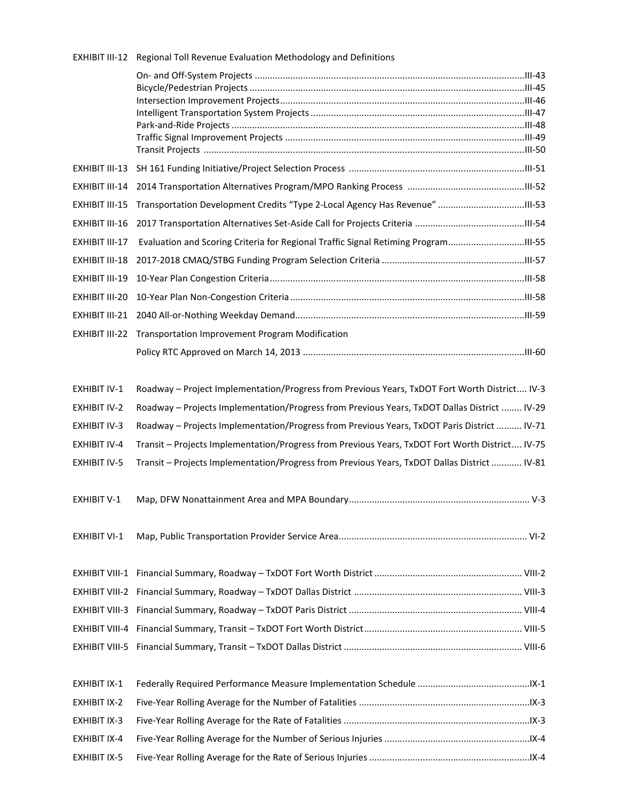|                       | EXHIBIT III-12 Regional Toll Revenue Evaluation Methodology and Definitions                     |  |
|-----------------------|-------------------------------------------------------------------------------------------------|--|
|                       |                                                                                                 |  |
|                       |                                                                                                 |  |
|                       |                                                                                                 |  |
|                       |                                                                                                 |  |
|                       |                                                                                                 |  |
|                       |                                                                                                 |  |
| EXHIBIT III-14        |                                                                                                 |  |
| <b>EXHIBIT III-15</b> |                                                                                                 |  |
| EXHIBIT III-16        |                                                                                                 |  |
| <b>EXHIBIT III-17</b> |                                                                                                 |  |
| EXHIBIT III-18        |                                                                                                 |  |
| <b>EXHIBIT III-19</b> |                                                                                                 |  |
| EXHIBIT III-20        |                                                                                                 |  |
|                       |                                                                                                 |  |
|                       | <b>EXHIBIT III-22 Transportation Improvement Program Modification</b>                           |  |
|                       |                                                                                                 |  |
|                       |                                                                                                 |  |
| <b>EXHIBIT IV-1</b>   | Roadway - Project Implementation/Progress from Previous Years, TxDOT Fort Worth District IV-3   |  |
| <b>EXHIBIT IV-2</b>   | Roadway - Projects Implementation/Progress from Previous Years, TxDOT Dallas District  IV-29    |  |
| <b>EXHIBIT IV-3</b>   | Roadway - Projects Implementation/Progress from Previous Years, TxDOT Paris District  IV-71     |  |
| <b>EXHIBIT IV-4</b>   | Transit - Projects Implementation/Progress from Previous Years, TxDOT Fort Worth District IV-75 |  |
| <b>EXHIBIT IV-5</b>   | Transit - Projects Implementation/Progress from Previous Years, TxDOT Dallas District  IV-81    |  |
|                       |                                                                                                 |  |
| <b>EXHIBIT V-1</b>    |                                                                                                 |  |
|                       |                                                                                                 |  |
| <b>EXHIBIT VI-1</b>   |                                                                                                 |  |
|                       |                                                                                                 |  |
|                       |                                                                                                 |  |
|                       |                                                                                                 |  |
|                       |                                                                                                 |  |
|                       |                                                                                                 |  |
|                       |                                                                                                 |  |
|                       |                                                                                                 |  |
| <b>EXHIBIT IX-1</b>   |                                                                                                 |  |
| EXHIBIT IX-2          |                                                                                                 |  |
| EXHIBIT IX-3          |                                                                                                 |  |
| <b>EXHIBIT IX-4</b>   |                                                                                                 |  |
| <b>EXHIBIT IX-5</b>   |                                                                                                 |  |